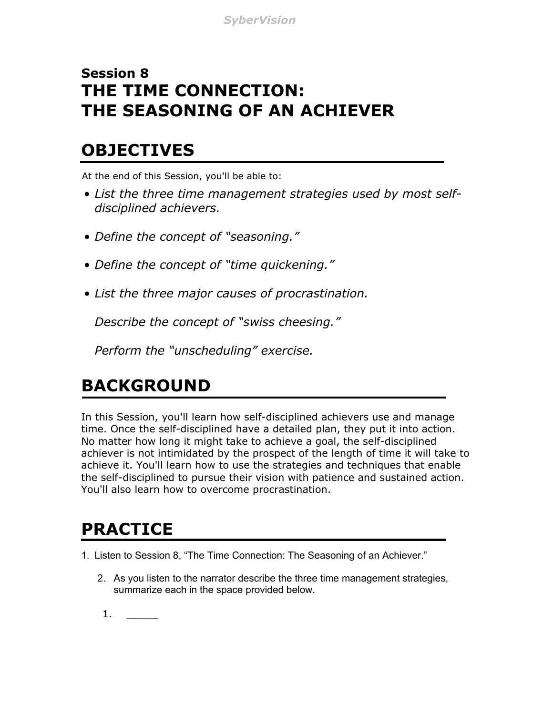#### **Session 8 THE TIME CONNECTION: THE SEASONING OF AN ACHIEVER**

#### **OBJECTIVES**

At the end of this Session, you'll be able to:

- *List the three time management strategies used by most selfdisciplined achievers.*
- *Define the concept of "seasoning."*
- *Define the concept of "time quickening."*
- *List the three major causes of procrastination.*

*Describe the concept of "swiss cheesing."*

*Perform the "unscheduling" exercise.*

# **BACKGROUND**

In this Session, you'll learn how self-disciplined achievers use and manage time. Once the self-disciplined have a detailed plan, they put it into action. No matter how long it might take to achieve a goal, the self-disciplined achiever is not intimidated by the prospect of the length of time it will take to achieve it. You'll learn how to use the strategies and techniques that enable the self-disciplined to pursue their vision with patience and sustained action. You'll also learn how to overcome procrastination.

## **PRACTICE**

1. Listen to Session 8, "The Time Connection: The Seasoning of an Achiever."

- 2. As you listen to the narrator describe the three time management strategies, summarize each in the space provided below.
- $1.$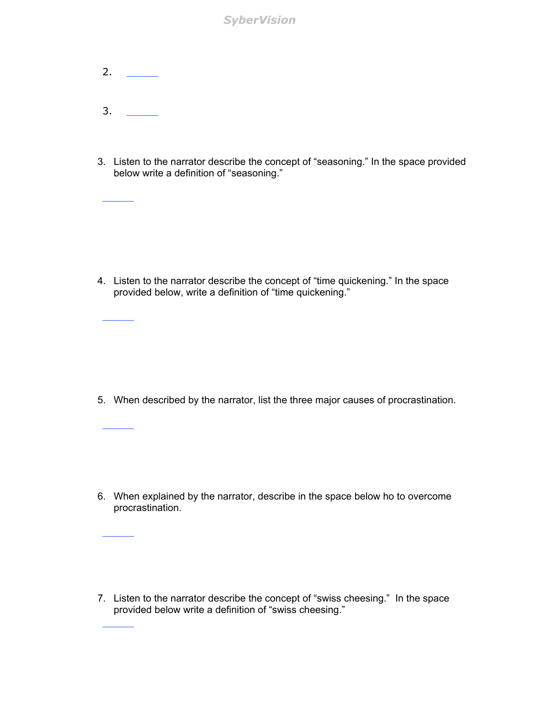*SyberVision*

2.  $\qquad \qquad$ 3. \_\_\_\_\_

\_\_\_\_\_

 $\overline{\phantom{a}}$ 

\_\_\_\_\_

\_\_\_\_\_

\_\_\_\_\_

3. Listen to the narrator describe the concept of "seasoning." In the space provided below write a definition of "seasoning."

4. Listen to the narrator describe the concept of "time quickening." In the space provided below, write a definition of "time quickening."

5. When described by the narrator, list the three major causes of procrastination.

6. When explained by the narrator, describe in the space below ho to overcome procrastination.

7. Listen to the narrator describe the concept of "swiss cheesing." In the space provided below write a definition of "swiss cheesing."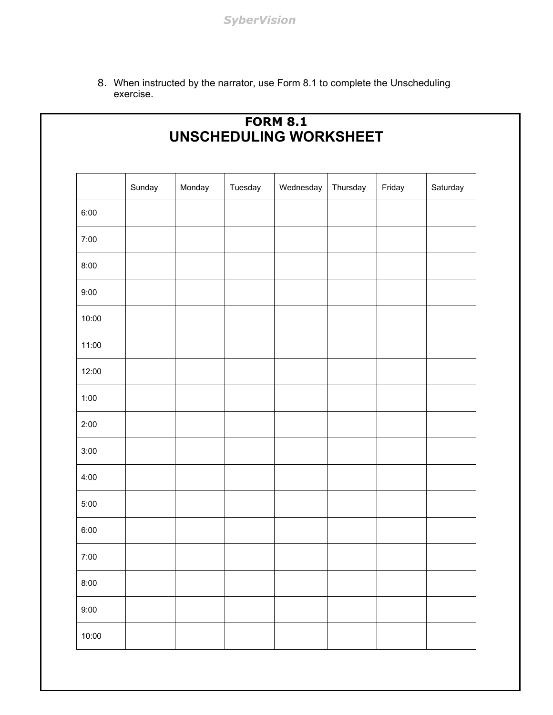8. When instructed by the narrator, use Form 8.1 to complete the Unscheduling exercise.

| UNSCHEDULING WORKSHEET |        |        |         |           |          |        |          |
|------------------------|--------|--------|---------|-----------|----------|--------|----------|
|                        | Sunday | Monday | Tuesday | Wednesday | Thursday | Friday | Saturday |
| 6:00                   |        |        |         |           |          |        |          |
| 7:00                   |        |        |         |           |          |        |          |
| 8:00                   |        |        |         |           |          |        |          |
| 9:00                   |        |        |         |           |          |        |          |
| 10:00                  |        |        |         |           |          |        |          |
| 11:00                  |        |        |         |           |          |        |          |
| 12:00                  |        |        |         |           |          |        |          |
| 1:00                   |        |        |         |           |          |        |          |
| 2:00                   |        |        |         |           |          |        |          |
| 3:00                   |        |        |         |           |          |        |          |
| 4:00                   |        |        |         |           |          |        |          |
| 5:00                   |        |        |         |           |          |        |          |
| 6:00                   |        |        |         |           |          |        |          |
| 7:00                   |        |        |         |           |          |        |          |
| 8:00                   |        |        |         |           |          |        |          |
| 9:00                   |        |        |         |           |          |        |          |
| 10:00                  |        |        |         |           |          |        |          |